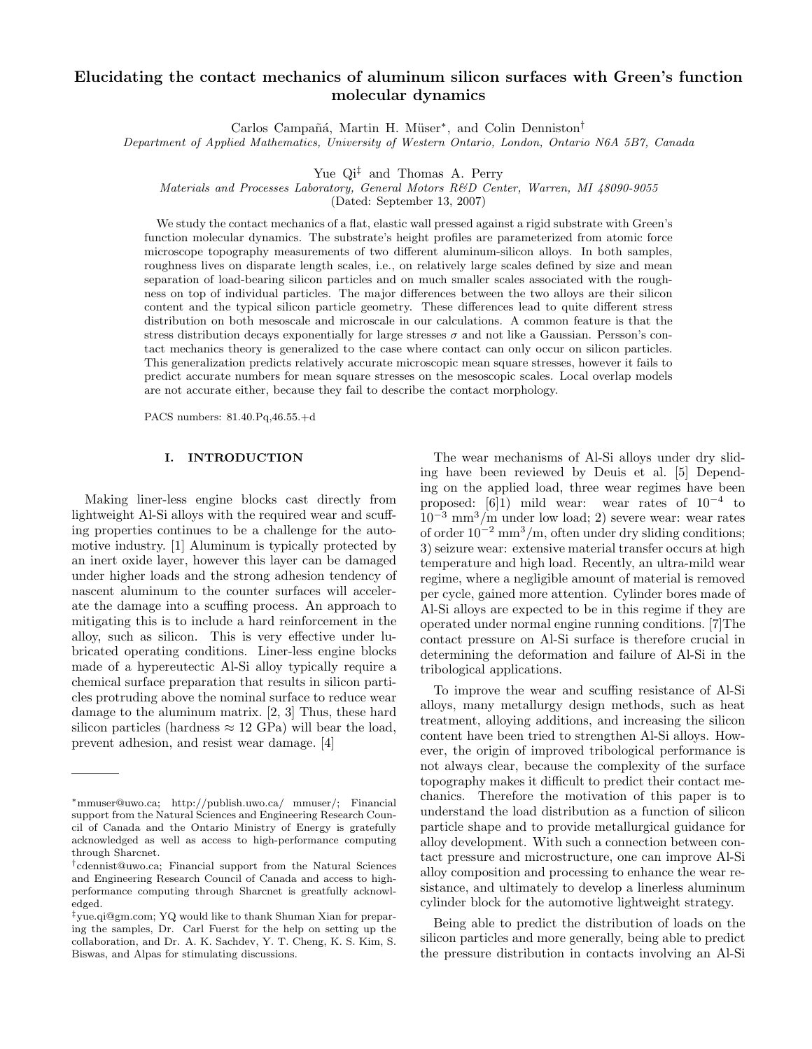# Elucidating the contact mechanics of aluminum silicon surfaces with Green's function molecular dynamics

Carlos Campañá, Martin H. Müser<sup>\*</sup>, and Colin Denniston<sup>†</sup>

Department of Applied Mathematics, University of Western Ontario, London, Ontario N6A 5B7, Canada

Yue Qi‡ and Thomas A. Perry

Materials and Processes Laboratory, General Motors R&D Center, Warren, MI 48090-9055

(Dated: September 13, 2007)

We study the contact mechanics of a flat, elastic wall pressed against a rigid substrate with Green's function molecular dynamics. The substrate's height profiles are parameterized from atomic force microscope topography measurements of two different aluminum-silicon alloys. In both samples, roughness lives on disparate length scales, i.e., on relatively large scales defined by size and mean separation of load-bearing silicon particles and on much smaller scales associated with the roughness on top of individual particles. The major differences between the two alloys are their silicon content and the typical silicon particle geometry. These differences lead to quite different stress distribution on both mesoscale and microscale in our calculations. A common feature is that the stress distribution decays exponentially for large stresses  $\sigma$  and not like a Gaussian. Persson's contact mechanics theory is generalized to the case where contact can only occur on silicon particles. This generalization predicts relatively accurate microscopic mean square stresses, however it fails to predict accurate numbers for mean square stresses on the mesoscopic scales. Local overlap models are not accurate either, because they fail to describe the contact morphology.

PACS numbers: 81.40.Pq,46.55.+d

## I. INTRODUCTION

Making liner-less engine blocks cast directly from lightweight Al-Si alloys with the required wear and scuffing properties continues to be a challenge for the automotive industry. [1] Aluminum is typically protected by an inert oxide layer, however this layer can be damaged under higher loads and the strong adhesion tendency of nascent aluminum to the counter surfaces will accelerate the damage into a scuffing process. An approach to mitigating this is to include a hard reinforcement in the alloy, such as silicon. This is very effective under lubricated operating conditions. Liner-less engine blocks made of a hypereutectic Al-Si alloy typically require a chemical surface preparation that results in silicon particles protruding above the nominal surface to reduce wear damage to the aluminum matrix. [2, 3] Thus, these hard silicon particles (hardness  $\approx 12$  GPa) will bear the load, prevent adhesion, and resist wear damage. [4]

The wear mechanisms of Al-Si alloys under dry sliding have been reviewed by Deuis et al. [5] Depending on the applied load, three wear regimes have been proposed:  $[6]1$ ) mild wear: wear rates of  $10^{-4}$  to  $10^{-3}$  mm<sup>3</sup>/m under low load; 2) severe wear: wear rates of order 10<sup>−</sup><sup>2</sup> mm<sup>3</sup>/m, often under dry sliding conditions; 3) seizure wear: extensive material transfer occurs at high temperature and high load. Recently, an ultra-mild wear regime, where a negligible amount of material is removed per cycle, gained more attention. Cylinder bores made of Al-Si alloys are expected to be in this regime if they are operated under normal engine running conditions. [7]The contact pressure on Al-Si surface is therefore crucial in determining the deformation and failure of Al-Si in the tribological applications.

To improve the wear and scuffing resistance of Al-Si alloys, many metallurgy design methods, such as heat treatment, alloying additions, and increasing the silicon content have been tried to strengthen Al-Si alloys. However, the origin of improved tribological performance is not always clear, because the complexity of the surface topography makes it difficult to predict their contact mechanics. Therefore the motivation of this paper is to understand the load distribution as a function of silicon particle shape and to provide metallurgical guidance for alloy development. With such a connection between contact pressure and microstructure, one can improve Al-Si alloy composition and processing to enhance the wear resistance, and ultimately to develop a linerless aluminum cylinder block for the automotive lightweight strategy.

Being able to predict the distribution of loads on the silicon particles and more generally, being able to predict the pressure distribution in contacts involving an Al-Si

<sup>∗</sup>mmuser@uwo.ca; http://publish.uwo.ca/ mmuser/; Financial support from the Natural Sciences and Engineering Research Council of Canada and the Ontario Ministry of Energy is gratefully acknowledged as well as access to high-performance computing through Sharcnet.

<sup>†</sup>cdennist@uwo.ca; Financial support from the Natural Sciences and Engineering Research Council of Canada and access to highperformance computing through Sharcnet is greatfully acknowledged.

<sup>‡</sup>yue.qi@gm.com; YQ would like to thank Shuman Xian for preparing the samples, Dr. Carl Fuerst for the help on setting up the collaboration, and Dr. A. K. Sachdev, Y. T. Cheng, K. S. Kim, S. Biswas, and Alpas for stimulating discussions.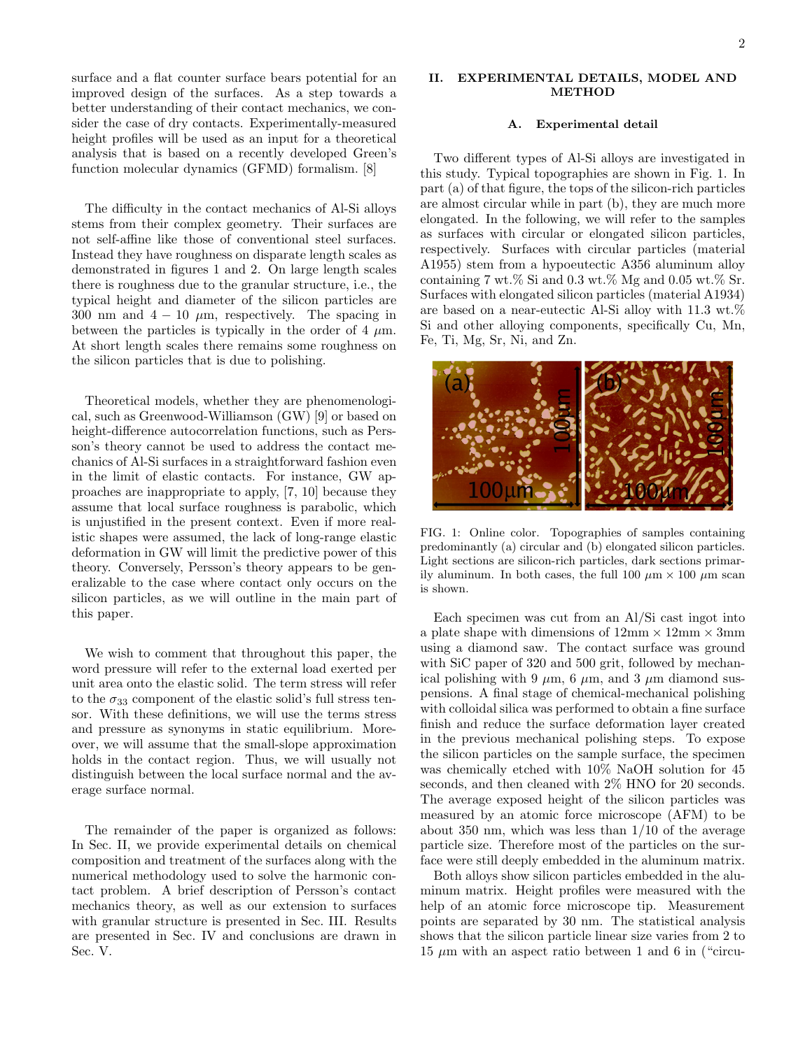surface and a flat counter surface bears potential for an improved design of the surfaces. As a step towards a better understanding of their contact mechanics, we consider the case of dry contacts. Experimentally-measured height profiles will be used as an input for a theoretical analysis that is based on a recently developed Green's function molecular dynamics (GFMD) formalism. [8]

The difficulty in the contact mechanics of Al-Si alloys stems from their complex geometry. Their surfaces are not self-affine like those of conventional steel surfaces. Instead they have roughness on disparate length scales as demonstrated in figures 1 and 2. On large length scales there is roughness due to the granular structure, i.e., the typical height and diameter of the silicon particles are 300 nm and  $4 - 10 \mu$ m, respectively. The spacing in between the particles is typically in the order of 4  $\mu$ m. At short length scales there remains some roughness on the silicon particles that is due to polishing.

Theoretical models, whether they are phenomenological, such as Greenwood-Williamson (GW) [9] or based on height-difference autocorrelation functions, such as Persson's theory cannot be used to address the contact mechanics of Al-Si surfaces in a straightforward fashion even in the limit of elastic contacts. For instance, GW approaches are inappropriate to apply, [7, 10] because they assume that local surface roughness is parabolic, which is unjustified in the present context. Even if more realistic shapes were assumed, the lack of long-range elastic deformation in GW will limit the predictive power of this theory. Conversely, Persson's theory appears to be generalizable to the case where contact only occurs on the silicon particles, as we will outline in the main part of this paper.

We wish to comment that throughout this paper, the word pressure will refer to the external load exerted per unit area onto the elastic solid. The term stress will refer to the  $\sigma_{33}$  component of the elastic solid's full stress tensor. With these definitions, we will use the terms stress and pressure as synonyms in static equilibrium. Moreover, we will assume that the small-slope approximation holds in the contact region. Thus, we will usually not distinguish between the local surface normal and the average surface normal.

The remainder of the paper is organized as follows: In Sec. II, we provide experimental details on chemical composition and treatment of the surfaces along with the numerical methodology used to solve the harmonic contact problem. A brief description of Persson's contact mechanics theory, as well as our extension to surfaces with granular structure is presented in Sec. III. Results are presented in Sec. IV and conclusions are drawn in Sec. V.

## II. EXPERIMENTAL DETAILS, MODEL AND METHOD

### A. Experimental detail

Two different types of Al-Si alloys are investigated in this study. Typical topographies are shown in Fig. 1. In part (a) of that figure, the tops of the silicon-rich particles are almost circular while in part (b), they are much more elongated. In the following, we will refer to the samples as surfaces with circular or elongated silicon particles, respectively. Surfaces with circular particles (material A1955) stem from a hypoeutectic A356 aluminum alloy containing 7 wt.% Si and  $0.3$  wt.% Mg and  $0.05$  wt.% Sr. Surfaces with elongated silicon particles (material A1934) are based on a near-eutectic Al-Si alloy with 11.3 wt.% Si and other alloying components, specifically Cu, Mn, Fe, Ti, Mg, Sr, Ni, and Zn.



FIG. 1: Online color. Topographies of samples containing predominantly (a) circular and (b) elongated silicon particles. Light sections are silicon-rich particles, dark sections primarily aluminum. In both cases, the full 100  $\mu$ m × 100  $\mu$ m scan is shown.

Each specimen was cut from an Al/Si cast ingot into a plate shape with dimensions of  $12 \text{mm} \times 12 \text{mm} \times 3 \text{mm}$ using a diamond saw. The contact surface was ground with SiC paper of 320 and 500 grit, followed by mechanical polishing with 9  $\mu$ m, 6  $\mu$ m, and 3  $\mu$ m diamond suspensions. A final stage of chemical-mechanical polishing with colloidal silica was performed to obtain a fine surface finish and reduce the surface deformation layer created in the previous mechanical polishing steps. To expose the silicon particles on the sample surface, the specimen was chemically etched with 10% NaOH solution for 45 seconds, and then cleaned with 2% HNO for 20 seconds. The average exposed height of the silicon particles was measured by an atomic force microscope (AFM) to be about 350 nm, which was less than 1/10 of the average particle size. Therefore most of the particles on the surface were still deeply embedded in the aluminum matrix.

Both alloys show silicon particles embedded in the aluminum matrix. Height profiles were measured with the help of an atomic force microscope tip. Measurement points are separated by 30 nm. The statistical analysis shows that the silicon particle linear size varies from 2 to  $15 \mu m$  with an aspect ratio between 1 and 6 in ("circu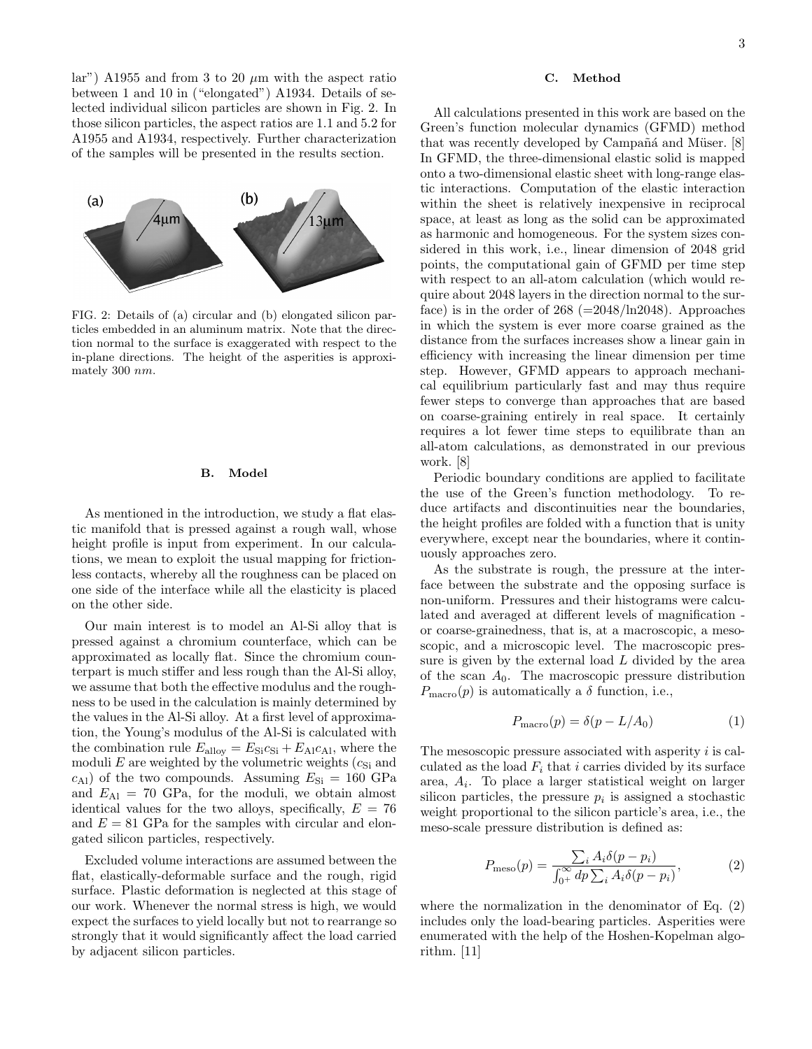lar") A1955 and from 3 to 20  $\mu$ m with the aspect ratio between 1 and 10 in ("elongated") A1934. Details of selected individual silicon particles are shown in Fig. 2. In those silicon particles, the aspect ratios are 1.1 and 5.2 for A1955 and A1934, respectively. Further characterization of the samples will be presented in the results section.



FIG. 2: Details of (a) circular and (b) elongated silicon particles embedded in an aluminum matrix. Note that the direction normal to the surface is exaggerated with respect to the in-plane directions. The height of the asperities is approximately 300 nm.

#### B. Model

As mentioned in the introduction, we study a flat elastic manifold that is pressed against a rough wall, whose height profile is input from experiment. In our calculations, we mean to exploit the usual mapping for frictionless contacts, whereby all the roughness can be placed on one side of the interface while all the elasticity is placed on the other side.

Our main interest is to model an Al-Si alloy that is pressed against a chromium counterface, which can be approximated as locally flat. Since the chromium counterpart is much stiffer and less rough than the Al-Si alloy, we assume that both the effective modulus and the roughness to be used in the calculation is mainly determined by the values in the Al-Si alloy. At a first level of approximation, the Young's modulus of the Al-Si is calculated with the combination rule  $E_{\text{alloy}} = E_{\text{Si}} c_{\text{Si}} + E_{\text{Al}} c_{\text{Al}}$ , where the moduli  $E$  are weighted by the volumetric weights  $(c_{Si}$  and  $c_{\text{Al}}$ ) of the two compounds. Assuming  $E_{\text{Si}} = 160 \text{ GPa}$ and  $E_{\text{Al}} = 70$  GPa, for the moduli, we obtain almost identical values for the two alloys, specifically,  $E = 76$ and  $E = 81$  GPa for the samples with circular and elongated silicon particles, respectively.

Excluded volume interactions are assumed between the flat, elastically-deformable surface and the rough, rigid surface. Plastic deformation is neglected at this stage of our work. Whenever the normal stress is high, we would expect the surfaces to yield locally but not to rearrange so strongly that it would significantly affect the load carried by adjacent silicon particles.

## C. Method

All calculations presented in this work are based on the Green's function molecular dynamics (GFMD) method that was recently developed by Campañá and Müser. [8] In GFMD, the three-dimensional elastic solid is mapped onto a two-dimensional elastic sheet with long-range elastic interactions. Computation of the elastic interaction within the sheet is relatively inexpensive in reciprocal space, at least as long as the solid can be approximated as harmonic and homogeneous. For the system sizes considered in this work, i.e., linear dimension of 2048 grid points, the computational gain of GFMD per time step with respect to an all-atom calculation (which would require about 2048 layers in the direction normal to the surface) is in the order of  $268$  (= $2048/\ln 2048$ ). Approaches in which the system is ever more coarse grained as the distance from the surfaces increases show a linear gain in efficiency with increasing the linear dimension per time step. However, GFMD appears to approach mechanical equilibrium particularly fast and may thus require fewer steps to converge than approaches that are based on coarse-graining entirely in real space. It certainly requires a lot fewer time steps to equilibrate than an all-atom calculations, as demonstrated in our previous work. [8]

Periodic boundary conditions are applied to facilitate the use of the Green's function methodology. To reduce artifacts and discontinuities near the boundaries, the height profiles are folded with a function that is unity everywhere, except near the boundaries, where it continuously approaches zero.

As the substrate is rough, the pressure at the interface between the substrate and the opposing surface is non-uniform. Pressures and their histograms were calculated and averaged at different levels of magnification or coarse-grainedness, that is, at a macroscopic, a mesoscopic, and a microscopic level. The macroscopic pressure is given by the external load  $L$  divided by the area of the scan  $A_0$ . The macroscopic pressure distribution  $P_{\text{macro}}(p)$  is automatically a  $\delta$  function, i.e.,

$$
P_{\text{macro}}(p) = \delta(p - L/A_0) \tag{1}
$$

The mesoscopic pressure associated with asperity i is calculated as the load  $F_i$  that i carries divided by its surface area,  $A_i$ . To place a larger statistical weight on larger silicon particles, the pressure  $p_i$  is assigned a stochastic weight proportional to the silicon particle's area, i.e., the meso-scale pressure distribution is defined as:

$$
P_{\text{meso}}(p) = \frac{\sum_{i} A_i \delta(p - p_i)}{\int_{0}^{\infty} dp \sum_{i} A_i \delta(p - p_i)},
$$
(2)

where the normalization in the denominator of Eq. (2) includes only the load-bearing particles. Asperities were enumerated with the help of the Hoshen-Kopelman algorithm. [11]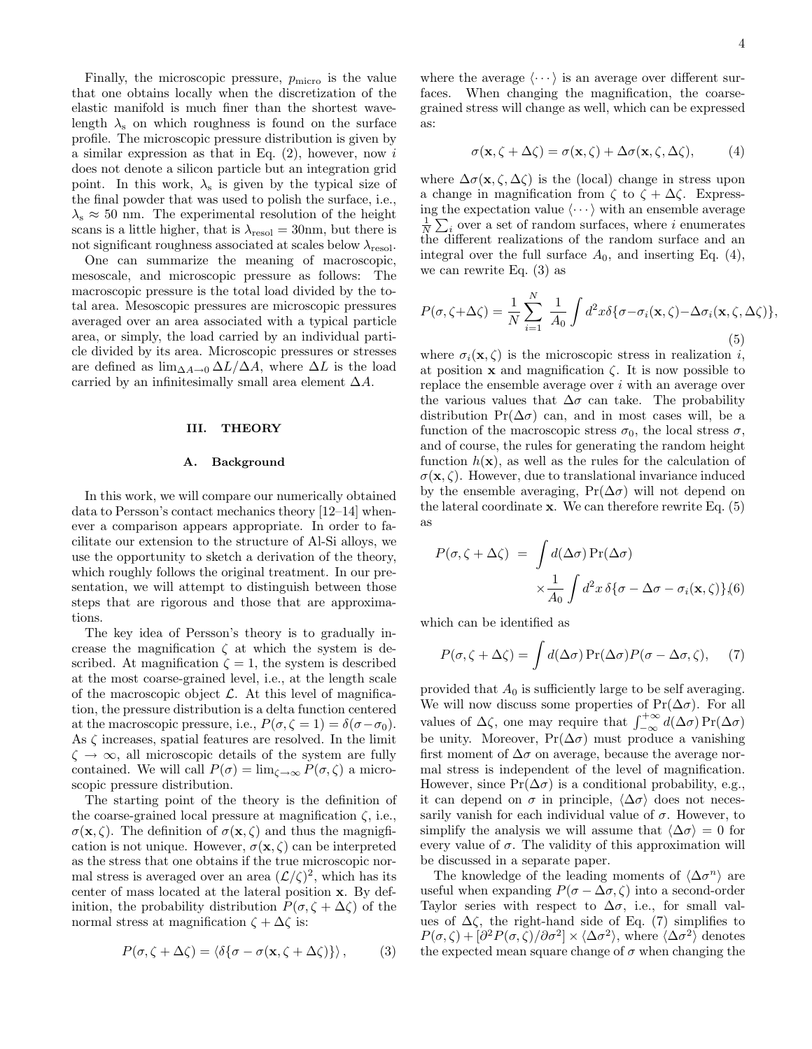Finally, the microscopic pressure,  $p<sub>micro</sub>$  is the value that one obtains locally when the discretization of the elastic manifold is much finer than the shortest wavelength  $\lambda_s$  on which roughness is found on the surface profile. The microscopic pressure distribution is given by a similar expression as that in Eq.  $(2)$ , however, now i does not denote a silicon particle but an integration grid point. In this work,  $\lambda_s$  is given by the typical size of the final powder that was used to polish the surface, i.e.,  $\lambda_{\rm s} \approx 50$  nm. The experimental resolution of the height scans is a little higher, that is  $\lambda_{\text{resol}} = 30 \text{nm}$ , but there is not significant roughness associated at scales below  $\lambda_{\rm resol}$ .

One can summarize the meaning of macroscopic, mesoscale, and microscopic pressure as follows: The macroscopic pressure is the total load divided by the total area. Mesoscopic pressures are microscopic pressures averaged over an area associated with a typical particle area, or simply, the load carried by an individual particle divided by its area. Microscopic pressures or stresses are defined as  $\lim_{\Delta A \to 0} \Delta L/\Delta A$ , where  $\Delta L$  is the load carried by an infinitesimally small area element  $\Delta A$ .

### III. THEORY

#### A. Background

In this work, we will compare our numerically obtained data to Persson's contact mechanics theory [12–14] whenever a comparison appears appropriate. In order to facilitate our extension to the structure of Al-Si alloys, we use the opportunity to sketch a derivation of the theory, which roughly follows the original treatment. In our presentation, we will attempt to distinguish between those steps that are rigorous and those that are approximations.

The key idea of Persson's theory is to gradually increase the magnification  $\zeta$  at which the system is described. At magnification  $\zeta = 1$ , the system is described at the most coarse-grained level, i.e., at the length scale of the macroscopic object  $\mathcal{L}$ . At this level of magnification, the pressure distribution is a delta function centered at the macroscopic pressure, i.e.,  $P(\sigma, \zeta = 1) = \delta(\sigma - \sigma_0)$ . As  $\zeta$  increases, spatial features are resolved. In the limit  $\zeta \to \infty$ , all microscopic details of the system are fully contained. We will call  $P(\sigma) = \lim_{\zeta \to \infty} P(\sigma, \zeta)$  a microscopic pressure distribution.

The starting point of the theory is the definition of the coarse-grained local pressure at magnification  $\zeta$ , i.e.,  $\sigma(\mathbf{x}, \zeta)$ . The definition of  $\sigma(\mathbf{x}, \zeta)$  and thus the magnigfication is not unique. However,  $\sigma(\mathbf{x}, \zeta)$  can be interpreted as the stress that one obtains if the true microscopic normal stress is averaged over an area  $(\mathcal{L}/\zeta)^2$ , which has its center of mass located at the lateral position x. By definition, the probability distribution  $P(\sigma, \zeta + \Delta \zeta)$  of the normal stress at magnification  $\zeta + \Delta \zeta$  is:

$$
P(\sigma, \zeta + \Delta \zeta) = \langle \delta \{ \sigma - \sigma(\mathbf{x}, \zeta + \Delta \zeta) \} \rangle, \tag{3}
$$

where the average  $\langle \cdots \rangle$  is an average over different surfaces. When changing the magnification, the coarsegrained stress will change as well, which can be expressed as:

$$
\sigma(\mathbf{x}, \zeta + \Delta \zeta) = \sigma(\mathbf{x}, \zeta) + \Delta \sigma(\mathbf{x}, \zeta, \Delta \zeta), \tag{4}
$$

where  $\Delta \sigma(\mathbf{x}, \zeta, \Delta \zeta)$  is the (local) change in stress upon a change in magnification from  $\zeta$  to  $\zeta + \Delta \zeta$ . Expressing the expectation value  $\langle \cdots \rangle$  with an ensemble average  $\frac{1}{N} \sum_{i}$  over a set of random surfaces, where i enumerates the different realizations of the random surface and an integral over the full surface  $A_0$ , and inserting Eq. (4), we can rewrite Eq. (3) as

$$
P(\sigma, \zeta + \Delta \zeta) = \frac{1}{N} \sum_{i=1}^{N} \frac{1}{A_0} \int d^2x \delta \{\sigma - \sigma_i(\mathbf{x}, \zeta) - \Delta \sigma_i(\mathbf{x}, \zeta, \Delta \zeta) \},\tag{5}
$$

where  $\sigma_i(\mathbf{x}, \zeta)$  is the microscopic stress in realization i, at position  $x$  and magnification  $\zeta$ . It is now possible to replace the ensemble average over  $i$  with an average over the various values that  $\Delta \sigma$  can take. The probability distribution  $Pr(\Delta \sigma)$  can, and in most cases will, be a function of the macroscopic stress  $\sigma_0$ , the local stress  $\sigma$ , and of course, the rules for generating the random height function  $h(\mathbf{x})$ , as well as the rules for the calculation of  $\sigma(\mathbf{x}, \zeta)$ . However, due to translational invariance induced by the ensemble averaging,  $Pr(\Delta \sigma)$  will not depend on the lateral coordinate **x**. We can therefore rewrite Eq.  $(5)$ as

$$
P(\sigma, \zeta + \Delta \zeta) = \int d(\Delta \sigma) \Pr(\Delta \sigma)
$$

$$
\times \frac{1}{A_0} \int d^2 x \, \delta \{ \sigma - \Delta \sigma - \sigma_i(\mathbf{x}, \zeta) \} (6)
$$

which can be identified as

$$
P(\sigma, \zeta + \Delta \zeta) = \int d(\Delta \sigma) \Pr(\Delta \sigma) P(\sigma - \Delta \sigma, \zeta), \quad (7)
$$

provided that  $A_0$  is sufficiently large to be self averaging. We will now discuss some properties of  $Pr(\Delta \sigma)$ . For all values of  $\Delta \zeta$ , one may require that  $\int_{-\infty}^{+\infty} d(\Delta \sigma) \Pr(\Delta \sigma)$ be unity. Moreover,  $Pr(\Delta \sigma)$  must produce a vanishing first moment of  $\Delta \sigma$  on average, because the average normal stress is independent of the level of magnification. However, since  $Pr(\Delta \sigma)$  is a conditional probability, e.g., it can depend on  $\sigma$  in principle,  $\langle \Delta \sigma \rangle$  does not necessarily vanish for each individual value of  $\sigma$ . However, to simplify the analysis we will assume that  $\langle \Delta \sigma \rangle = 0$  for every value of  $\sigma$ . The validity of this approximation will be discussed in a separate paper.

The knowledge of the leading moments of  $\langle \Delta \sigma^n \rangle$  are useful when expanding  $P(\sigma - \Delta \sigma, \zeta)$  into a second-order Taylor series with respect to  $\Delta \sigma$ , i.e., for small values of  $\Delta \zeta$ , the right-hand side of Eq. (7) simplifies to  $P(\sigma,\zeta) + [\partial^2 P(\sigma,\zeta)/\partial \sigma^2] \times \langle \Delta \sigma^2 \rangle$ , where  $\langle \Delta \sigma^2 \rangle$  denotes the expected mean square change of  $\sigma$  when changing the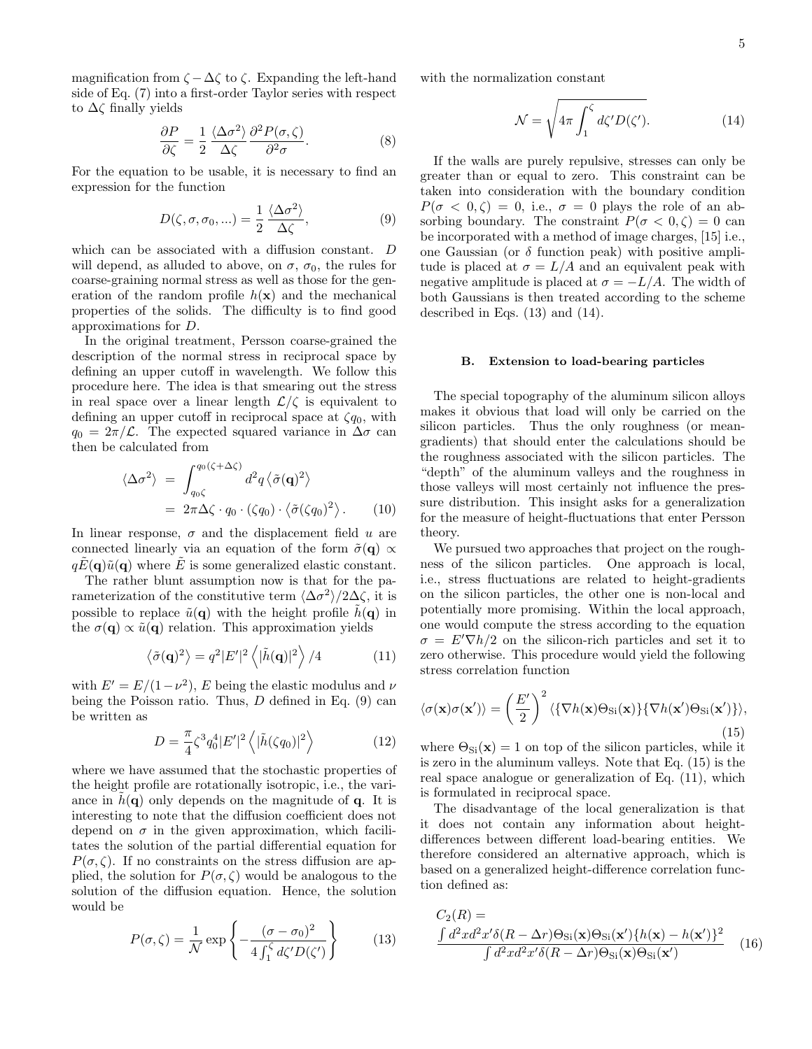magnification from  $\zeta - \Delta \zeta$  to  $\zeta$ . Expanding the left-hand side of Eq. (7) into a first-order Taylor series with respect to  $\Delta \zeta$  finally yields

$$
\frac{\partial P}{\partial \zeta} = \frac{1}{2} \frac{\langle \Delta \sigma^2 \rangle}{\Delta \zeta} \frac{\partial^2 P(\sigma, \zeta)}{\partial^2 \sigma}.
$$
 (8)

For the equation to be usable, it is necessary to find an expression for the function

$$
D(\zeta, \sigma, \sigma_0, \ldots) = \frac{1}{2} \frac{\langle \Delta \sigma^2 \rangle}{\Delta \zeta},
$$
\n(9)

which can be associated with a diffusion constant. D will depend, as alluded to above, on  $\sigma$ ,  $\sigma_0$ , the rules for coarse-graining normal stress as well as those for the generation of the random profile  $h(\mathbf{x})$  and the mechanical properties of the solids. The difficulty is to find good approximations for D.

In the original treatment, Persson coarse-grained the description of the normal stress in reciprocal space by defining an upper cutoff in wavelength. We follow this procedure here. The idea is that smearing out the stress in real space over a linear length  $\mathcal{L}/\zeta$  is equivalent to defining an upper cutoff in reciprocal space at  $\zeta q_0$ , with  $q_0 = 2\pi/\mathcal{L}$ . The expected squared variance in  $\Delta \sigma$  can then be calculated from

$$
\langle \Delta \sigma^2 \rangle = \int_{q_0 \zeta}^{q_0(\zeta + \Delta \zeta)} d^2 q \langle \tilde{\sigma}(\mathbf{q})^2 \rangle
$$
  
=  $2\pi \Delta \zeta \cdot q_0 \cdot (\zeta q_0) \cdot \langle \tilde{\sigma} (\zeta q_0)^2 \rangle$ . (10)

In linear response,  $\sigma$  and the displacement field u are connected linearly via an equation of the form  $\tilde{\sigma}(\mathbf{q}) \propto$  $q\hat{E}(\mathbf{q})\tilde{u}(\mathbf{q})$  where  $\hat{E}$  is some generalized elastic constant.

The rather blunt assumption now is that for the parameterization of the constitutive term  $\langle \Delta \sigma^2 \rangle / 2 \Delta \zeta$ , it is possible to replace  $\tilde{u}(\mathbf{q})$  with the height profile  $\tilde{h}(\mathbf{q})$  in the  $\sigma(\mathbf{q}) \propto \tilde{u}(\mathbf{q})$  relation. This approximation yields

$$
\langle \tilde{\sigma}(\mathbf{q})^2 \rangle = q^2 |E'|^2 \left\langle |\tilde{h}(\mathbf{q})|^2 \right\rangle / 4 \tag{11}
$$

with  $E' = E/(1 - \nu^2)$ , E being the elastic modulus and  $\nu$ being the Poisson ratio. Thus,  $D$  defined in Eq. (9) can be written as

$$
D = \frac{\pi}{4} \zeta^3 q_0^4 |E'|^2 \left\langle |\tilde{h}(\zeta q_0)|^2 \right\rangle \tag{12}
$$

where we have assumed that the stochastic properties of the height profile are rotationally isotropic, i.e., the variance in  $h(\mathbf{q})$  only depends on the magnitude of **q**. It is interesting to note that the diffusion coefficient does not depend on  $\sigma$  in the given approximation, which facilitates the solution of the partial differential equation for  $P(\sigma, \zeta)$ . If no constraints on the stress diffusion are applied, the solution for  $P(\sigma, \zeta)$  would be analogous to the solution of the diffusion equation. Hence, the solution would be

$$
P(\sigma,\zeta) = \frac{1}{\mathcal{N}} \exp\left\{-\frac{(\sigma - \sigma_0)^2}{4\int_1^{\zeta} d\zeta' D(\zeta')}\right\} \tag{13}
$$

with the normalization constant

$$
\mathcal{N} = \sqrt{4\pi \int_1^{\zeta} d\zeta' D(\zeta')}.
$$
 (14)

If the walls are purely repulsive, stresses can only be greater than or equal to zero. This constraint can be taken into consideration with the boundary condition  $P(\sigma < 0, \zeta) = 0$ , i.e.,  $\sigma = 0$  plays the role of an absorbing boundary. The constraint  $P(\sigma < 0, \zeta) = 0$  can be incorporated with a method of image charges, [15] i.e., one Gaussian (or  $\delta$  function peak) with positive amplitude is placed at  $\sigma = L/A$  and an equivalent peak with negative amplitude is placed at  $\sigma = -L/A$ . The width of both Gaussians is then treated according to the scheme described in Eqs. (13) and (14).

## B. Extension to load-bearing particles

The special topography of the aluminum silicon alloys makes it obvious that load will only be carried on the silicon particles. Thus the only roughness (or meangradients) that should enter the calculations should be the roughness associated with the silicon particles. The "depth" of the aluminum valleys and the roughness in those valleys will most certainly not influence the pressure distribution. This insight asks for a generalization for the measure of height-fluctuations that enter Persson theory.

We pursued two approaches that project on the roughness of the silicon particles. One approach is local, i.e., stress fluctuations are related to height-gradients on the silicon particles, the other one is non-local and potentially more promising. Within the local approach, one would compute the stress according to the equation  $\sigma = E' \nabla h/2$  on the silicon-rich particles and set it to zero otherwise. This procedure would yield the following stress correlation function

$$
\langle \sigma(\mathbf{x}) \sigma(\mathbf{x}') \rangle = \left(\frac{E'}{2}\right)^2 \langle \{ \nabla h(\mathbf{x}) \Theta_{\text{Si}}(\mathbf{x}) \} \{ \nabla h(\mathbf{x}') \Theta_{\text{Si}}(\mathbf{x}') \} \rangle, \tag{15}
$$

where  $\Theta_{\text{Si}}(\mathbf{x}) = 1$  on top of the silicon particles, while it is zero in the aluminum valleys. Note that Eq. (15) is the real space analogue or generalization of Eq. (11), which is formulated in reciprocal space.

The disadvantage of the local generalization is that it does not contain any information about heightdifferences between different load-bearing entities. We therefore considered an alternative approach, which is based on a generalized height-difference correlation function defined as:

$$
C_2(R) =
$$
  

$$
\frac{\int d^2x d^2x' \delta(R - \Delta r) \Theta_{\text{Si}}(\mathbf{x}) \Theta_{\text{Si}}(\mathbf{x}') \{h(\mathbf{x}) - h(\mathbf{x}')\}^2}{\int d^2x d^2x' \delta(R - \Delta r) \Theta_{\text{Si}}(\mathbf{x}) \Theta_{\text{Si}}(\mathbf{x}')}
$$
(16)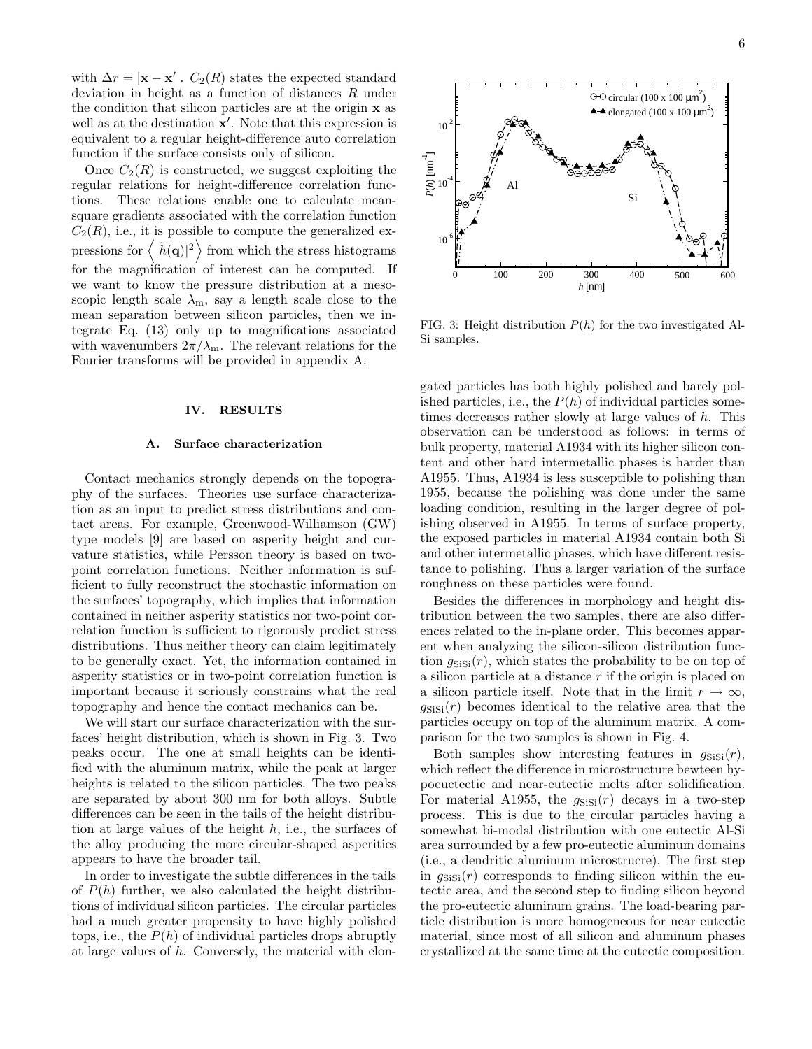with  $\Delta r = |\mathbf{x} - \mathbf{x}'|$ .  $C_2(R)$  states the expected standard deviation in height as a function of distances R under the condition that silicon particles are at the origin x as well as at the destination  $x'$ . Note that this expression is equivalent to a regular height-difference auto correlation function if the surface consists only of silicon.

Once  $C_2(R)$  is constructed, we suggest exploiting the regular relations for height-difference correlation functions. These relations enable one to calculate meansquare gradients associated with the correlation function  $C_2(R)$ , i.e., it is possible to compute the generalized expressions for  $\langle |\tilde{h}(\mathbf{q})|^2 \rangle$  from which the stress histograms for the magnification of interest can be computed. If we want to know the pressure distribution at a mesoscopic length scale  $\lambda_{m}$ , say a length scale close to the mean separation between silicon particles, then we integrate Eq. (13) only up to magnifications associated with wavenumbers  $2\pi/\lambda_{\rm m}$ . The relevant relations for the Fourier transforms will be provided in appendix A.

## IV. RESULTS

#### A. Surface characterization

Contact mechanics strongly depends on the topography of the surfaces. Theories use surface characterization as an input to predict stress distributions and contact areas. For example, Greenwood-Williamson (GW) type models [9] are based on asperity height and curvature statistics, while Persson theory is based on twopoint correlation functions. Neither information is sufficient to fully reconstruct the stochastic information on the surfaces' topography, which implies that information contained in neither asperity statistics nor two-point correlation function is sufficient to rigorously predict stress distributions. Thus neither theory can claim legitimately to be generally exact. Yet, the information contained in asperity statistics or in two-point correlation function is important because it seriously constrains what the real topography and hence the contact mechanics can be.

We will start our surface characterization with the surfaces' height distribution, which is shown in Fig. 3. Two peaks occur. The one at small heights can be identified with the aluminum matrix, while the peak at larger heights is related to the silicon particles. The two peaks are separated by about 300 nm for both alloys. Subtle differences can be seen in the tails of the height distribution at large values of the height  $h$ , i.e., the surfaces of the alloy producing the more circular-shaped asperities appears to have the broader tail.

In order to investigate the subtle differences in the tails of  $P(h)$  further, we also calculated the height distributions of individual silicon particles. The circular particles had a much greater propensity to have highly polished tops, i.e., the  $P(h)$  of individual particles drops abruptly at large values of h. Conversely, the material with elon-



FIG. 3: Height distribution  $P(h)$  for the two investigated Al-Si samples.

gated particles has both highly polished and barely polished particles, i.e., the  $P(h)$  of individual particles sometimes decreases rather slowly at large values of h. This observation can be understood as follows: in terms of bulk property, material A1934 with its higher silicon content and other hard intermetallic phases is harder than A1955. Thus, A1934 is less susceptible to polishing than 1955, because the polishing was done under the same loading condition, resulting in the larger degree of polishing observed in A1955. In terms of surface property, the exposed particles in material A1934 contain both Si and other intermetallic phases, which have different resistance to polishing. Thus a larger variation of the surface roughness on these particles were found.

Besides the differences in morphology and height distribution between the two samples, there are also differences related to the in-plane order. This becomes apparent when analyzing the silicon-silicon distribution function  $q_{\text{Sis}}(r)$ , which states the probability to be on top of a silicon particle at a distance r if the origin is placed on a silicon particle itself. Note that in the limit  $r \to \infty$ ,  $g_{\text{SiSi}}(r)$  becomes identical to the relative area that the particles occupy on top of the aluminum matrix. A comparison for the two samples is shown in Fig. 4.

Both samples show interesting features in  $q_{\text{SiSi}}(r)$ , which reflect the difference in microstructure bewteen hypoeuctectic and near-eutectic melts after solidification. For material A1955, the  $q_{\text{SiSi}}(r)$  decays in a two-step process. This is due to the circular particles having a somewhat bi-modal distribution with one eutectic Al-Si area surrounded by a few pro-eutectic aluminum domains (i.e., a dendritic aluminum microstrucre). The first step in  $g_{\text{SiSi}}(r)$  corresponds to finding silicon within the eutectic area, and the second step to finding silicon beyond the pro-eutectic aluminum grains. The load-bearing particle distribution is more homogeneous for near eutectic material, since most of all silicon and aluminum phases crystallized at the same time at the eutectic composition.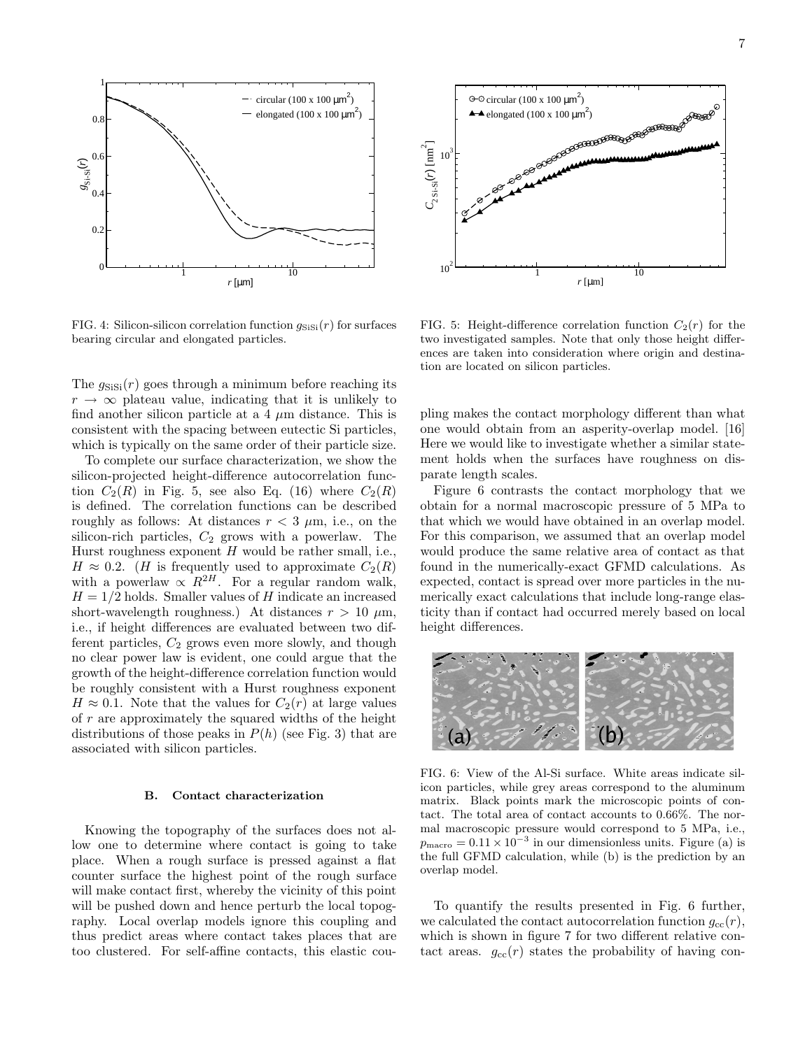

FIG. 4: Silicon-silicon correlation function  $g_{\text{SiSi}}(r)$  for surfaces bearing circular and elongated particles.

The  $g_{\text{SiSi}}(r)$  goes through a minimum before reaching its  $r \rightarrow \infty$  plateau value, indicating that it is unlikely to find another silicon particle at a  $4 \mu m$  distance. This is consistent with the spacing between eutectic Si particles, which is typically on the same order of their particle size.

To complete our surface characterization, we show the silicon-projected height-difference autocorrelation function  $C_2(R)$  in Fig. 5, see also Eq. (16) where  $C_2(R)$ is defined. The correlation functions can be described roughly as follows: At distances  $r < 3 \mu m$ , i.e., on the silicon-rich particles,  $C_2$  grows with a powerlaw. The Hurst roughness exponent  $H$  would be rather small, i.e.,  $H \approx 0.2$ . (*H* is frequently used to approximate  $C_2(R)$ with a powerlaw  $\propto R^{2H}$ . For a regular random walk,  $H = 1/2$  holds. Smaller values of H indicate an increased short-wavelength roughness.) At distances  $r > 10 \mu m$ , i.e., if height differences are evaluated between two different particles,  $C_2$  grows even more slowly, and though no clear power law is evident, one could argue that the growth of the height-difference correlation function would be roughly consistent with a Hurst roughness exponent  $H \approx 0.1$ . Note that the values for  $C_2(r)$  at large values of r are approximately the squared widths of the height distributions of those peaks in  $P(h)$  (see Fig. 3) that are associated with silicon particles.

#### B. Contact characterization

Knowing the topography of the surfaces does not allow one to determine where contact is going to take place. When a rough surface is pressed against a flat counter surface the highest point of the rough surface will make contact first, whereby the vicinity of this point will be pushed down and hence perturb the local topography. Local overlap models ignore this coupling and thus predict areas where contact takes places that are too clustered. For self-affine contacts, this elastic cou-



FIG. 5: Height-difference correlation function  $C_2(r)$  for the two investigated samples. Note that only those height differences are taken into consideration where origin and destination are located on silicon particles.

pling makes the contact morphology different than what one would obtain from an asperity-overlap model. [16] Here we would like to investigate whether a similar statement holds when the surfaces have roughness on disparate length scales.

Figure 6 contrasts the contact morphology that we obtain for a normal macroscopic pressure of 5 MPa to that which we would have obtained in an overlap model. For this comparison, we assumed that an overlap model would produce the same relative area of contact as that found in the numerically-exact GFMD calculations. As expected, contact is spread over more particles in the numerically exact calculations that include long-range elasticity than if contact had occurred merely based on local height differences.



FIG. 6: View of the Al-Si surface. White areas indicate silicon particles, while grey areas correspond to the aluminum matrix. Black points mark the microscopic points of contact. The total area of contact accounts to 0.66%. The normal macroscopic pressure would correspond to 5 MPa, i.e.,  $p_{\text{macro}} = 0.11 \times 10^{-3}$  in our dimensionless units. Figure (a) is the full GFMD calculation, while (b) is the prediction by an overlap model.

To quantify the results presented in Fig. 6 further, we calculated the contact autocorrelation function  $g_{cc}(r)$ , which is shown in figure 7 for two different relative contact areas.  $g_{\rm cc}(r)$  states the probability of having con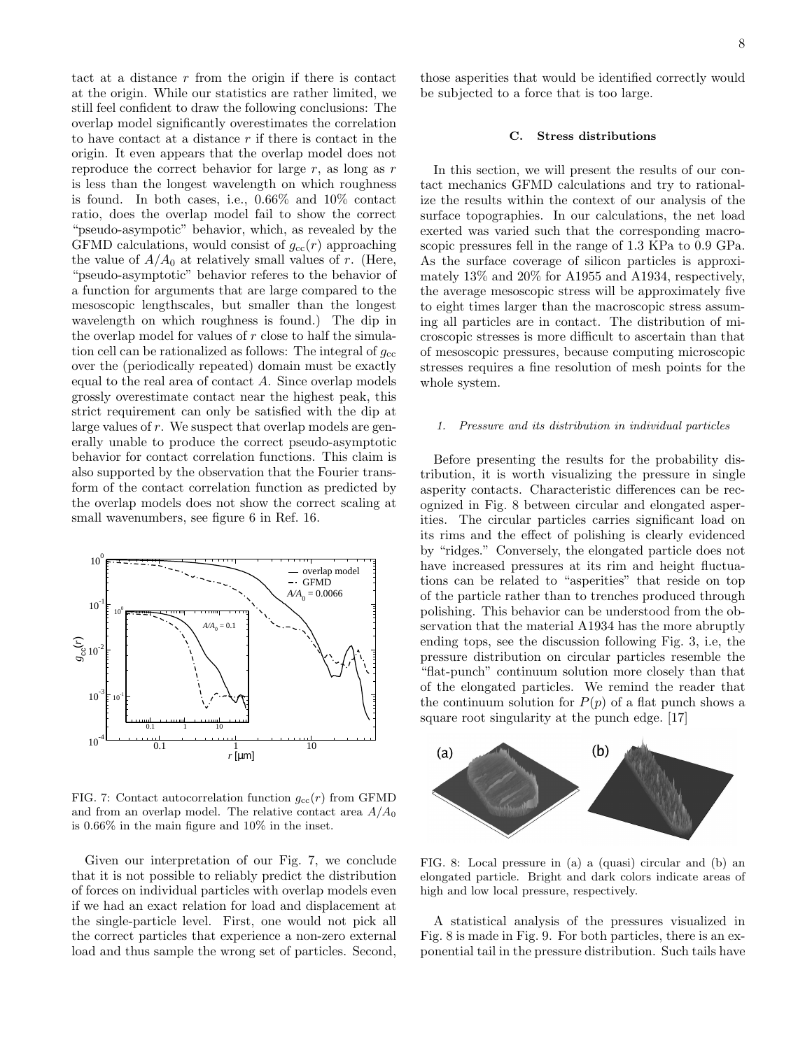tact at a distance  $r$  from the origin if there is contact at the origin. While our statistics are rather limited, we still feel confident to draw the following conclusions: The overlap model significantly overestimates the correlation to have contact at a distance  $r$  if there is contact in the origin. It even appears that the overlap model does not reproduce the correct behavior for large  $r$ , as long as  $r$ is less than the longest wavelength on which roughness is found. In both cases, i.e., 0.66% and 10% contact ratio, does the overlap model fail to show the correct "pseudo-asympotic" behavior, which, as revealed by the GFMD calculations, would consist of  $g_{\text{cc}}(r)$  approaching the value of  $A/A_0$  at relatively small values of r. (Here, "pseudo-asymptotic" behavior referes to the behavior of a function for arguments that are large compared to the mesoscopic lengthscales, but smaller than the longest wavelength on which roughness is found.) The dip in the overlap model for values of  $r$  close to half the simulation cell can be rationalized as follows: The integral of  $g_{cc}$ over the (periodically repeated) domain must be exactly equal to the real area of contact A. Since overlap models grossly overestimate contact near the highest peak, this strict requirement can only be satisfied with the dip at large values of r. We suspect that overlap models are generally unable to produce the correct pseudo-asymptotic behavior for contact correlation functions. This claim is also supported by the observation that the Fourier transform of the contact correlation function as predicted by the overlap models does not show the correct scaling at small wavenumbers, see figure 6 in Ref. 16.



FIG. 7: Contact autocorrelation function  $g_{cc}(r)$  from GFMD and from an overlap model. The relative contact area  $A/A_0$ is 0.66% in the main figure and 10% in the inset.

Given our interpretation of our Fig. 7, we conclude that it is not possible to reliably predict the distribution of forces on individual particles with overlap models even if we had an exact relation for load and displacement at the single-particle level. First, one would not pick all the correct particles that experience a non-zero external load and thus sample the wrong set of particles. Second,

those asperities that would be identified correctly would be subjected to a force that is too large.

#### C. Stress distributions

In this section, we will present the results of our contact mechanics GFMD calculations and try to rationalize the results within the context of our analysis of the surface topographies. In our calculations, the net load exerted was varied such that the corresponding macroscopic pressures fell in the range of 1.3 KPa to 0.9 GPa. As the surface coverage of silicon particles is approximately 13% and 20% for A1955 and A1934, respectively, the average mesoscopic stress will be approximately five to eight times larger than the macroscopic stress assuming all particles are in contact. The distribution of microscopic stresses is more difficult to ascertain than that of mesoscopic pressures, because computing microscopic stresses requires a fine resolution of mesh points for the whole system.

#### 1. Pressure and its distribution in individual particles

Before presenting the results for the probability distribution, it is worth visualizing the pressure in single asperity contacts. Characteristic differences can be recognized in Fig. 8 between circular and elongated asperities. The circular particles carries significant load on its rims and the effect of polishing is clearly evidenced by "ridges." Conversely, the elongated particle does not have increased pressures at its rim and height fluctuations can be related to "asperities" that reside on top of the particle rather than to trenches produced through polishing. This behavior can be understood from the observation that the material A1934 has the more abruptly ending tops, see the discussion following Fig. 3, i.e, the pressure distribution on circular particles resemble the "flat-punch" continuum solution more closely than that of the elongated particles. We remind the reader that the continuum solution for  $P(p)$  of a flat punch shows a square root singularity at the punch edge. [17]



FIG. 8: Local pressure in (a) a (quasi) circular and (b) an elongated particle. Bright and dark colors indicate areas of high and low local pressure, respectively.

A statistical analysis of the pressures visualized in Fig. 8 is made in Fig. 9. For both particles, there is an exponential tail in the pressure distribution. Such tails have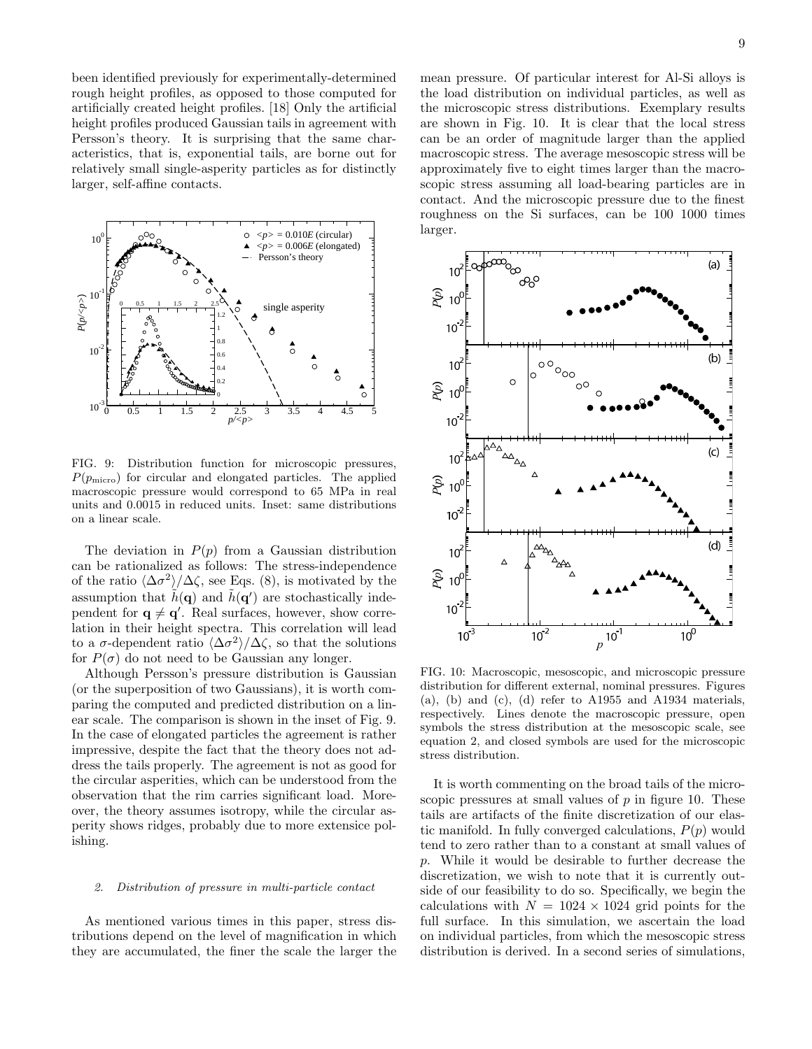been identified previously for experimentally-determined rough height profiles, as opposed to those computed for artificially created height profiles. [18] Only the artificial height profiles produced Gaussian tails in agreement with Persson's theory. It is surprising that the same characteristics, that is, exponential tails, are borne out for relatively small single-asperity particles as for distinctly larger, self-affine contacts.



FIG. 9: Distribution function for microscopic pressures,  $P(p_{\text{micro}})$  for circular and elongated particles. The applied macroscopic pressure would correspond to 65 MPa in real units and 0.0015 in reduced units. Inset: same distributions on a linear scale.

The deviation in  $P(p)$  from a Gaussian distribution can be rationalized as follows: The stress-independence of the ratio  $\langle \Delta \sigma^2 \rangle / \Delta \zeta$ , see Eqs. (8), is motivated by the assumption that  $\tilde{h}(\mathbf{q})$  and  $\tilde{h}(\mathbf{q}')$  are stochastically independent for  $\mathbf{q} \neq \mathbf{q}'$ . Real surfaces, however, show correlation in their height spectra. This correlation will lead to a  $\sigma$ -dependent ratio  $\langle \Delta \sigma^2 \rangle / \Delta \zeta$ , so that the solutions for  $P(\sigma)$  do not need to be Gaussian any longer.

Although Persson's pressure distribution is Gaussian (or the superposition of two Gaussians), it is worth comparing the computed and predicted distribution on a linear scale. The comparison is shown in the inset of Fig. 9. In the case of elongated particles the agreement is rather impressive, despite the fact that the theory does not address the tails properly. The agreement is not as good for the circular asperities, which can be understood from the observation that the rim carries significant load. Moreover, the theory assumes isotropy, while the circular asperity shows ridges, probably due to more extensice polishing.

### 2. Distribution of pressure in multi-particle contact

As mentioned various times in this paper, stress distributions depend on the level of magnification in which they are accumulated, the finer the scale the larger the mean pressure. Of particular interest for Al-Si alloys is the load distribution on individual particles, as well as the microscopic stress distributions. Exemplary results are shown in Fig. 10. It is clear that the local stress can be an order of magnitude larger than the applied macroscopic stress. The average mesoscopic stress will be approximately five to eight times larger than the macroscopic stress assuming all load-bearing particles are in contact. And the microscopic pressure due to the finest roughness on the Si surfaces, can be 100 1000 times larger.



FIG. 10: Macroscopic, mesoscopic, and microscopic pressure distribution for different external, nominal pressures. Figures (a), (b) and (c), (d) refer to  $A1955$  and  $A1934$  materials, respectively. Lines denote the macroscopic pressure, open symbols the stress distribution at the mesoscopic scale, see equation 2, and closed symbols are used for the microscopic stress distribution.

It is worth commenting on the broad tails of the microscopic pressures at small values of  $p$  in figure 10. These tails are artifacts of the finite discretization of our elastic manifold. In fully converged calculations,  $P(p)$  would tend to zero rather than to a constant at small values of p. While it would be desirable to further decrease the discretization, we wish to note that it is currently outside of our feasibility to do so. Specifically, we begin the calculations with  $N = 1024 \times 1024$  grid points for the full surface. In this simulation, we ascertain the load on individual particles, from which the mesoscopic stress distribution is derived. In a second series of simulations,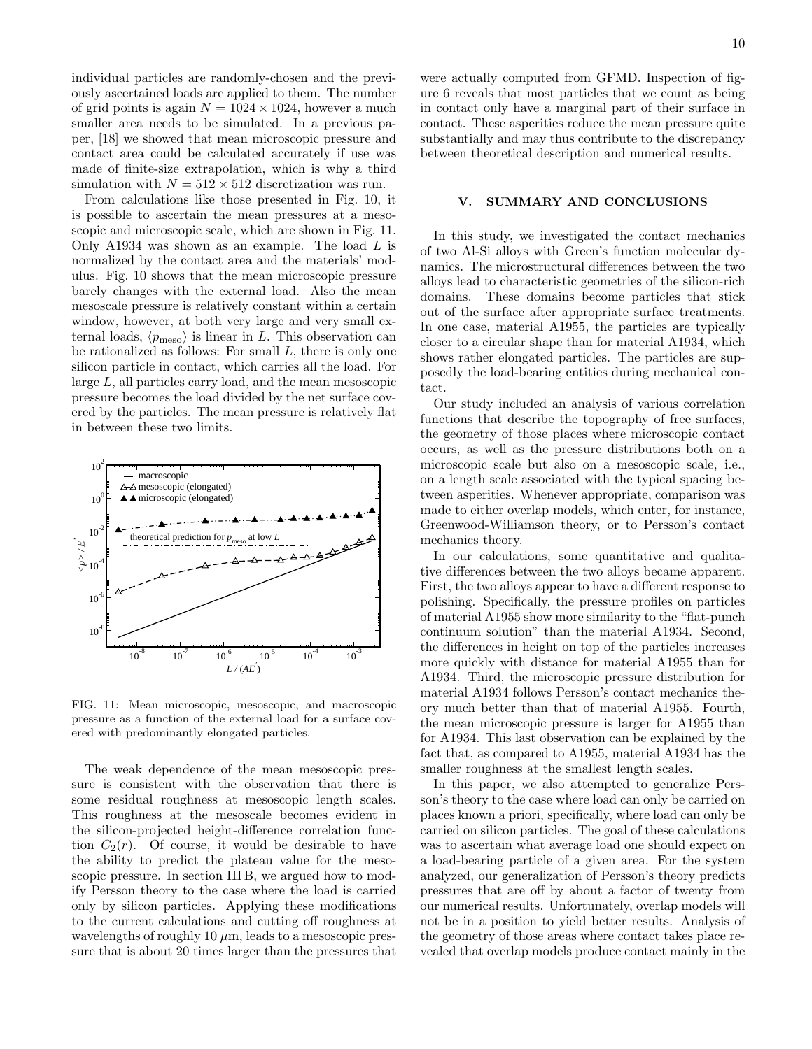individual particles are randomly-chosen and the previously ascertained loads are applied to them. The number of grid points is again  $N = 1024 \times 1024$ , however a much smaller area needs to be simulated. In a previous paper, [18] we showed that mean microscopic pressure and contact area could be calculated accurately if use was made of finite-size extrapolation, which is why a third simulation with  $N = 512 \times 512$  discretization was run.

From calculations like those presented in Fig. 10, it is possible to ascertain the mean pressures at a mesoscopic and microscopic scale, which are shown in Fig. 11. Only A1934 was shown as an example. The load  $L$  is normalized by the contact area and the materials' modulus. Fig. 10 shows that the mean microscopic pressure barely changes with the external load. Also the mean mesoscale pressure is relatively constant within a certain window, however, at both very large and very small external loads,  $\langle p_{\text{meso}} \rangle$  is linear in L. This observation can be rationalized as follows: For small  $L$ , there is only one silicon particle in contact, which carries all the load. For large L, all particles carry load, and the mean mesoscopic pressure becomes the load divided by the net surface covered by the particles. The mean pressure is relatively flat in between these two limits.



FIG. 11: Mean microscopic, mesoscopic, and macroscopic pressure as a function of the external load for a surface covered with predominantly elongated particles.

The weak dependence of the mean mesoscopic pressure is consistent with the observation that there is some residual roughness at mesoscopic length scales. This roughness at the mesoscale becomes evident in the silicon-projected height-difference correlation function  $C_2(r)$ . Of course, it would be desirable to have the ability to predict the plateau value for the mesoscopic pressure. In section III B, we argued how to modify Persson theory to the case where the load is carried only by silicon particles. Applying these modifications to the current calculations and cutting off roughness at wavelengths of roughly  $10 \mu m$ , leads to a mesoscopic pressure that is about 20 times larger than the pressures that

were actually computed from GFMD. Inspection of figure 6 reveals that most particles that we count as being in contact only have a marginal part of their surface in contact. These asperities reduce the mean pressure quite substantially and may thus contribute to the discrepancy between theoretical description and numerical results.

### V. SUMMARY AND CONCLUSIONS

In this study, we investigated the contact mechanics of two Al-Si alloys with Green's function molecular dynamics. The microstructural differences between the two alloys lead to characteristic geometries of the silicon-rich domains. These domains become particles that stick out of the surface after appropriate surface treatments. In one case, material A1955, the particles are typically closer to a circular shape than for material A1934, which shows rather elongated particles. The particles are supposedly the load-bearing entities during mechanical contact.

Our study included an analysis of various correlation functions that describe the topography of free surfaces, the geometry of those places where microscopic contact occurs, as well as the pressure distributions both on a microscopic scale but also on a mesoscopic scale, i.e., on a length scale associated with the typical spacing between asperities. Whenever appropriate, comparison was made to either overlap models, which enter, for instance, Greenwood-Williamson theory, or to Persson's contact mechanics theory.

In our calculations, some quantitative and qualitative differences between the two alloys became apparent. First, the two alloys appear to have a different response to polishing. Specifically, the pressure profiles on particles of material A1955 show more similarity to the "flat-punch continuum solution" than the material A1934. Second, the differences in height on top of the particles increases more quickly with distance for material A1955 than for A1934. Third, the microscopic pressure distribution for material A1934 follows Persson's contact mechanics theory much better than that of material A1955. Fourth, the mean microscopic pressure is larger for A1955 than for A1934. This last observation can be explained by the fact that, as compared to A1955, material A1934 has the smaller roughness at the smallest length scales.

In this paper, we also attempted to generalize Persson's theory to the case where load can only be carried on places known a priori, specifically, where load can only be carried on silicon particles. The goal of these calculations was to ascertain what average load one should expect on a load-bearing particle of a given area. For the system analyzed, our generalization of Persson's theory predicts pressures that are off by about a factor of twenty from our numerical results. Unfortunately, overlap models will not be in a position to yield better results. Analysis of the geometry of those areas where contact takes place revealed that overlap models produce contact mainly in the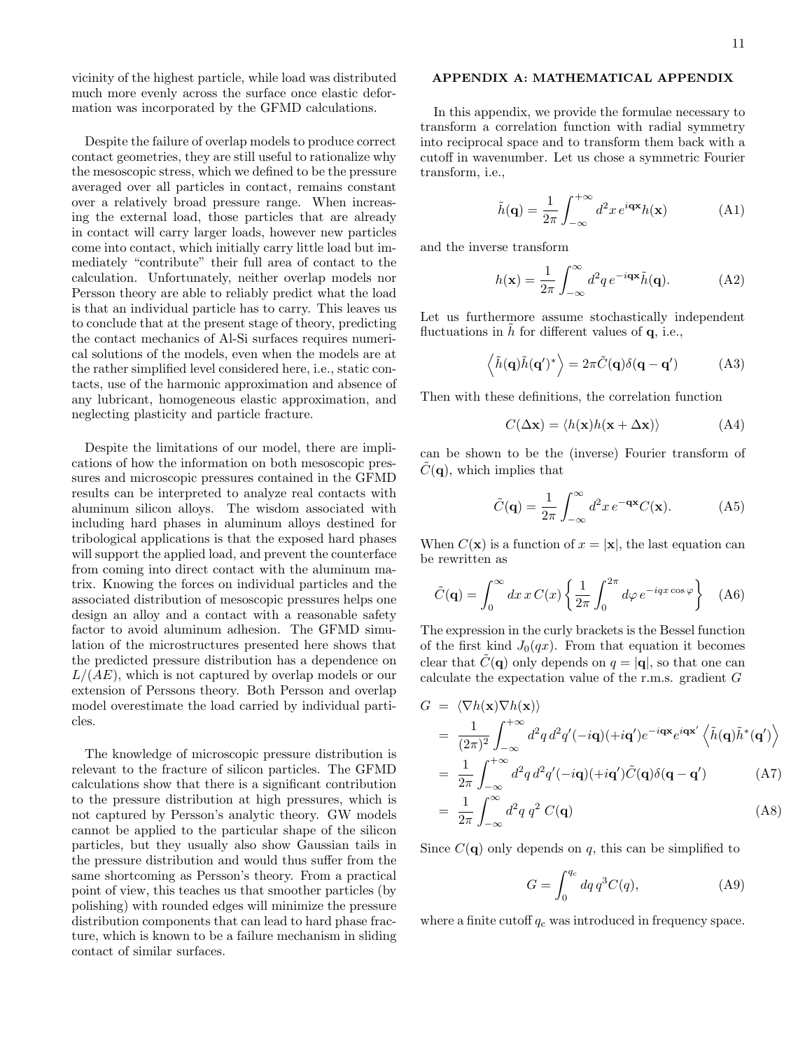vicinity of the highest particle, while load was distributed much more evenly across the surface once elastic deformation was incorporated by the GFMD calculations.

Despite the failure of overlap models to produce correct contact geometries, they are still useful to rationalize why the mesoscopic stress, which we defined to be the pressure averaged over all particles in contact, remains constant over a relatively broad pressure range. When increasing the external load, those particles that are already in contact will carry larger loads, however new particles come into contact, which initially carry little load but immediately "contribute" their full area of contact to the calculation. Unfortunately, neither overlap models nor Persson theory are able to reliably predict what the load is that an individual particle has to carry. This leaves us to conclude that at the present stage of theory, predicting the contact mechanics of Al-Si surfaces requires numerical solutions of the models, even when the models are at the rather simplified level considered here, i.e., static contacts, use of the harmonic approximation and absence of any lubricant, homogeneous elastic approximation, and neglecting plasticity and particle fracture.

Despite the limitations of our model, there are implications of how the information on both mesoscopic pressures and microscopic pressures contained in the GFMD results can be interpreted to analyze real contacts with aluminum silicon alloys. The wisdom associated with including hard phases in aluminum alloys destined for tribological applications is that the exposed hard phases will support the applied load, and prevent the counterface from coming into direct contact with the aluminum matrix. Knowing the forces on individual particles and the associated distribution of mesoscopic pressures helps one design an alloy and a contact with a reasonable safety factor to avoid aluminum adhesion. The GFMD simulation of the microstructures presented here shows that the predicted pressure distribution has a dependence on  $L/(AE)$ , which is not captured by overlap models or our extension of Perssons theory. Both Persson and overlap model overestimate the load carried by individual particles.

The knowledge of microscopic pressure distribution is relevant to the fracture of silicon particles. The GFMD calculations show that there is a significant contribution to the pressure distribution at high pressures, which is not captured by Persson's analytic theory. GW models cannot be applied to the particular shape of the silicon particles, but they usually also show Gaussian tails in the pressure distribution and would thus suffer from the same shortcoming as Persson's theory. From a practical point of view, this teaches us that smoother particles (by polishing) with rounded edges will minimize the pressure distribution components that can lead to hard phase fracture, which is known to be a failure mechanism in sliding contact of similar surfaces.

## APPENDIX A: MATHEMATICAL APPENDIX

In this appendix, we provide the formulae necessary to transform a correlation function with radial symmetry into reciprocal space and to transform them back with a cutoff in wavenumber. Let us chose a symmetric Fourier transform, i.e.,

$$
\tilde{h}(\mathbf{q}) = \frac{1}{2\pi} \int_{-\infty}^{+\infty} d^2 x \, e^{i\mathbf{q} \mathbf{x}} h(\mathbf{x}) \tag{A1}
$$

and the inverse transform

$$
h(\mathbf{x}) = \frac{1}{2\pi} \int_{-\infty}^{\infty} d^2 q \, e^{-i\mathbf{q}\mathbf{x}} \tilde{h}(\mathbf{q}). \tag{A2}
$$

Let us furthermore assume stochastically independent fluctuations in  $h$  for different values of  $q$ , i.e.,

$$
\langle \tilde{h}(\mathbf{q})\tilde{h}(\mathbf{q}')^* \rangle = 2\pi \tilde{C}(\mathbf{q})\delta(\mathbf{q} - \mathbf{q}') \tag{A3}
$$

Then with these definitions, the correlation function

$$
C(\Delta \mathbf{x}) = \langle h(\mathbf{x})h(\mathbf{x} + \Delta \mathbf{x}) \rangle \tag{A4}
$$

can be shown to be the (inverse) Fourier transform of  $\hat{C}(\mathbf{q})$ , which implies that

$$
\tilde{C}(\mathbf{q}) = \frac{1}{2\pi} \int_{-\infty}^{\infty} d^2 x \, e^{-\mathbf{q} \mathbf{x}} C(\mathbf{x}).\tag{A5}
$$

When  $C(\mathbf{x})$  is a function of  $x = |\mathbf{x}|$ , the last equation can be rewritten as

$$
\tilde{C}(\mathbf{q}) = \int_0^\infty dx \, x \, C(x) \left\{ \frac{1}{2\pi} \int_0^{2\pi} d\varphi \, e^{-iqx \cos \varphi} \right\} \quad (A6)
$$

The expression in the curly brackets is the Bessel function of the first kind  $J_0(qx)$ . From that equation it becomes clear that  $\tilde{C}(\mathbf{q})$  only depends on  $q = |\mathbf{q}|$ , so that one can calculate the expectation value of the r.m.s. gradient G

$$
G = \langle \nabla h(\mathbf{x}) \nabla h(\mathbf{x}) \rangle
$$
  
\n
$$
= \frac{1}{(2\pi)^2} \int_{-\infty}^{+\infty} d^2q \, d^2q'(-i\mathbf{q})(+i\mathbf{q}')e^{-i\mathbf{q}\mathbf{x}} e^{i\mathbf{q}\mathbf{x}'} \langle \tilde{h}(\mathbf{q})\tilde{h}^*(\mathbf{q}') \rangle
$$
  
\n
$$
= \frac{1}{2\pi} \int_{-\infty}^{+\infty} d^2q \, d^2q'(-i\mathbf{q})(+i\mathbf{q}') \tilde{C}(\mathbf{q}) \delta(\mathbf{q}-\mathbf{q}') \qquad (A7)
$$
  
\n
$$
= \frac{1}{2\pi} \int_{-\infty}^{\infty} d^2q \, q^2 \, C(\mathbf{q}) \qquad (A8)
$$

Since  $C(\mathbf{q})$  only depends on q, this can be simplified to

$$
G = \int_0^{q_c} dq \, q^3 C(q),\tag{A9}
$$

where a finite cutoff  $q_c$  was introduced in frequency space.